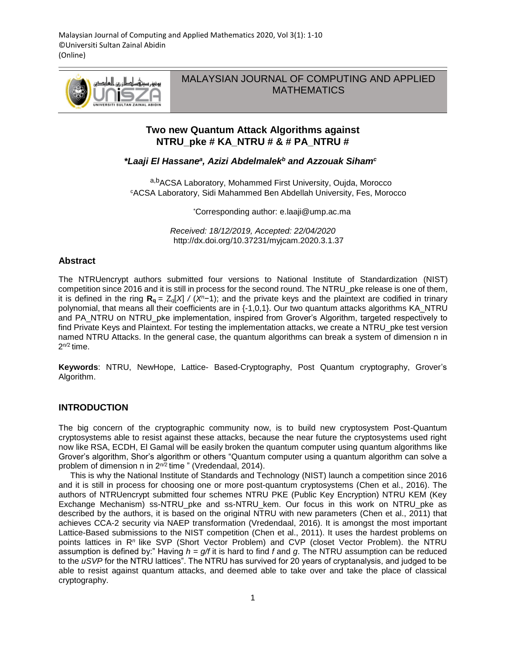

MALAYSIAN JOURNAL OF COMPUTING AND APPLIED **MATHEMATICS** 

# **Two new Quantum Attack Algorithms against NTRU\_pke # KA\_NTRU # & # PA\_NTRU #**

### *\*Laaji El Hassane<sup>a</sup> , Azizi Abdelmalek<sup>b</sup> and Azzouak Siham<sup>c</sup>*

a,b<sub>ACSA Laboratory, Mohammed First University, Oujda, Morocco</sub> <sup>c</sup>ACSA Laboratory, Sidi Mahammed Ben Abdellah University, Fes, Morocco

\*Corresponding author: e.laaji@ump.ac.ma

*Received: 18/12/2019, Accepted: 22/04/2020* http://dx.doi.org/10.37231/myjcam.2020.3.1.37

### **Abstract**

The NTRUencrypt authors submitted four versions to National Institute of Standardization (NIST) competition since 2016 and it is still in process for the second round. The NTRU\_pke release is one of them, it is defined in the ring  $\mathbf{R}_{q} = Z_{q}[X] / (X^{n-1})$ ; and the private keys and the plaintext are codified in trinary polynomial, that means all their coefficients are in {-1,0,1}. Our two quantum attacks algorithms KA\_NTRU and PA\_NTRU on NTRU\_pke implementation, inspired from Grover's Algorithm, targeted respectively to find Private Keys and Plaintext. For testing the implementation attacks, we create a NTRU\_pke test version named NTRU Attacks. In the general case, the quantum algorithms can break a system of dimension n in 2<sup>n/2</sup> time.

**Keywords**: NTRU, NewHope, Lattice- Based-Cryptography, Post Quantum cryptography, Grover's Algorithm.

## **INTRODUCTION**

The big concern of the cryptographic community now, is to build new cryptosystem Post-Quantum cryptosystems able to resist against these attacks, because the near future the cryptosystems used right now like RSA, ECDH, El Gamal will be easily broken the quantum computer using quantum algorithms like Grover's algorithm, Shor's algorithm or others "Quantum computer using a quantum algorithm can solve a problem of dimension n in 2<sup>n/2</sup> time " (Vredendaal, 2014).

This is why the National Institute of Standards and Technology (NIST) launch a competition since 2016 and it is still in process for choosing one or more post-quantum cryptosystems (Chen et al., 2016). The authors of NTRUencrypt submitted four schemes NTRU PKE (Public Key Encryption) NTRU KEM (Key Exchange Mechanism) ss-NTRU pke and ss-NTRU kem. Our focus in this work on NTRU pke as described by the authors, it is based on the original NTRU with new parameters (Chen et al., 2011) that achieves CCA-2 security via NAEP transformation (Vredendaal, 2016). It is amongst the most important Lattice-Based submissions to the NIST competition (Chen et al., 2011). It uses the hardest problems on points lattices in R*<sup>n</sup>*like SVP (Short Vector Problem) and CVP (closet Vector Problem). the NTRU assumption is defined by:" Having *h* = *g/f* it is hard to find *f* and *g*. The NTRU assumption can be reduced to the *uSVP* for the NTRU lattices". The NTRU has survived for 20 years of cryptanalysis, and judged to be able to resist against quantum attacks, and deemed able to take over and take the place of classical cryptography.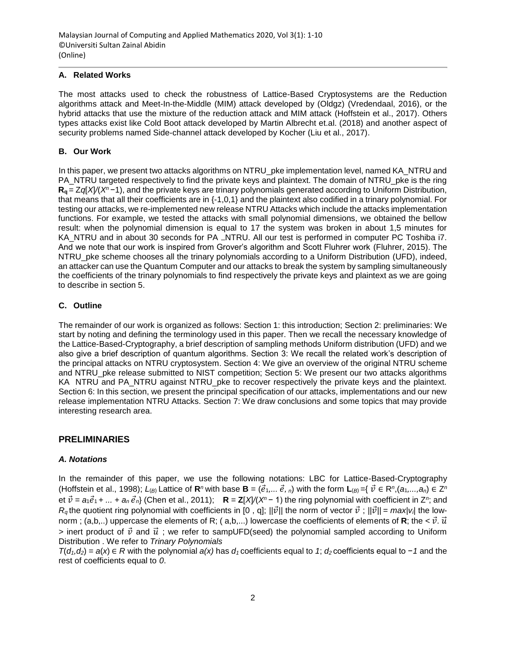### **A. Related Works**

The most attacks used to check the robustness of Lattice-Based Cryptosystems are the Reduction algorithms attack and Meet-In-the-Middle (MIM) attack developed by (Oldgz) (Vredendaal, 2016), or the hybrid attacks that use the mixture of the reduction attack and MIM attack (Hoffstein et al., 2017). Others types attacks exist like Cold Boot attack developed by Martin Albrecht et.al. (2018) and another aspect of security problems named Side-channel attack developed by Kocher (Liu et al., 2017).

### **B. Our Work**

In this paper, we present two attacks algorithms on NTRU\_pke implementation level, named KA\_NTRU and PA\_NTRU targeted respectively to find the private keys and plaintext. The domain of NTRU\_pke is the ring **Rq** = Z*q*[*X*]*/*(*X<sup>n</sup>*−1), and the private keys are trinary polynomials generated according to Uniform Distribution, that means that all their coefficients are in {-1,0,1} and the plaintext also codified in a trinary polynomial. For testing our attacks, we re-implemented new release NTRU Attacks which include the attacks implementation functions. For example, we tested the attacks with small polynomial dimensions, we obtained the bellow result: when the polynomial dimension is equal to 17 the system was broken in about 1,5 minutes for KA NTRU and in about 30 seconds for PA \_NTRU. All our test is performed in computer PC Toshiba i7. And we note that our work is inspired from Grover's algorithm and Scott Fluhrer work (Fluhrer, 2015). The NTRU\_pke scheme chooses all the trinary polynomials according to a Uniform Distribution (UFD), indeed, an attacker can use the Quantum Computer and our attacks to break the system by sampling simultaneously the coefficients of the trinary polynomials to find respectively the private keys and plaintext as we are going to describe in section 5.

## **C. Outline**

The remainder of our work is organized as follows: Section 1: this introduction; Section 2: preliminaries: We start by noting and defining the terminology used in this paper. Then we recall the necessary knowledge of the Lattice-Based-Cryptography, a brief description of sampling methods Uniform distribution (UFD) and we also give a brief description of quantum algorithms. Section 3: We recall the related work's description of the principal attacks on NTRU cryptosystem. Section 4: We give an overview of the original NTRU scheme and NTRU\_pke release submitted to NIST competition; Section 5: We present our two attacks algorithms KA NTRU and PA\_NTRU against NTRU\_pke to recover respectively the private keys and the plaintext. Section 6: In this section, we present the principal specification of our attacks, implementations and our new release implementation NTRU Attacks. Section 7: We draw conclusions and some topics that may provide interesting research area.

## **PRELIMINARIES**

### *A. Notations*

In the remainder of this paper, we use the following notations: LBC for Lattice-Based-Cryptography (Hoffstein et al., 1998); *L*<sub>(*B*)</sub> Lattice of **R**<sup>*n*</sup> with base **B** = ( $\vec{e}_1,...\vec{e}_n$ ) with the form L<sub>(*B*)</sub> ={ $\vec{v} \in R^n$ ,  $(a_1,...,a_n) \in Z^n$  $\vec{v}$  =  $a_1\vec{e}_1$  +  $...$  +  $a_n\vec{e}_n$  (Chen et al., 2011); **R** = **Z**[X] $/(X^n - 1)$  the ring polynomial with coefficient in Z<sup>n</sup>; and *R*<sub>a</sub> the quotient ring polynomial with coefficients in [0, q];  $||\vec{v}||$  the norm of vector  $\vec{v}$ ;  $||\vec{v}|| = max|v_i|$  the lownorm ; (a,b,..) uppercase the elements of R; (a,b,...) lowercase the coefficients of elements of R; the  $\lt \vec{v} \cdot \vec{u}$  $>$  inert product of  $\vec{v}$  and  $\vec{u}$ ; we refer to sampUFD(seed) the polynomial sampled according to Uniform Distribution . We refer to *Trinary Polynomials*

*T*( $d_1$ , $d_2$ ) =  $a(x)$  ∈ *R* with the polynomial  $a(x)$  has  $d_1$  coefficients equal to *1*;  $d_2$  coefficients equal to − *1* and the rest of coefficients equal to *0*.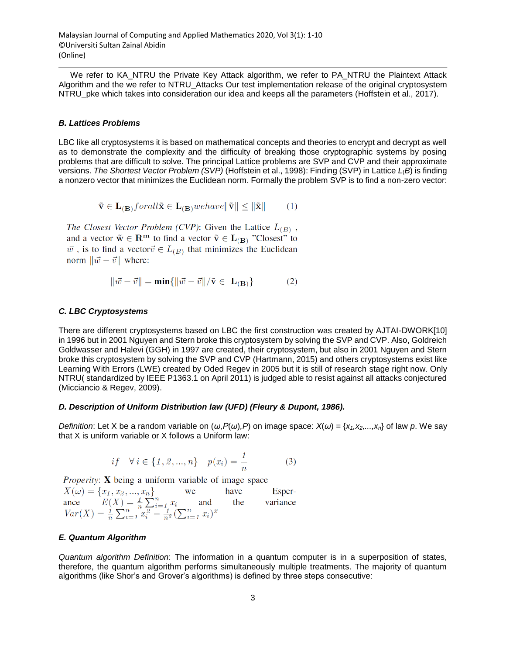We refer to KA\_NTRU the Private Key Attack algorithm, we refer to PA\_NTRU the Plaintext Attack Algorithm and the we refer to NTRU\_Attacks Our test implementation release of the original cryptosystem NTRU pke which takes into consideration our idea and keeps all the parameters (Hoffstein et al., 2017).

#### *B. Lattices Problems*

LBC like all cryptosystems it is based on mathematical concepts and theories to encrypt and decrypt as well as to demonstrate the complexity and the difficulty of breaking those cryptographic systems by posing problems that are difficult to solve. The principal Lattice problems are SVP and CVP and their approximate versions. *The Shortest Vector Problem (SVP)* (Hoffstein et al., 1998): Finding (SVP) in Lattice *L*(*B*) is finding a nonzero vector that minimizes the Euclidean norm. Formally the problem SVP is to find a non-zero vector:

$$
\tilde{\mathbf{v}} \in \mathbf{L}_{(\mathbf{B})} for all \tilde{\mathbf{x}} \in \mathbf{L}_{(\mathbf{B})} we have \|\tilde{\mathbf{v}}\| \le \|\tilde{\mathbf{x}}\|
$$
 (1)

The Closest Vector Problem (CVP): Given the Lattice  $L_{(B)}$ , and a vector  $\tilde{\mathbf{w}} \in \mathbb{R}^m$  to find a vector  $\tilde{\mathbf{v}} \in \mathbf{L}_{(\mathbf{B})}$  "Closest" to  $\vec{w}$ , is to find a vector  $\vec{v} \in L_{(B)}$  that minimizes the Euclidean norm  $\|\vec{w} - \vec{v}\|$  where:

$$
\|\vec{w} - \vec{v}\| = \min\{\|\vec{w} - \vec{v}\|/\tilde{\mathbf{v}} \in \mathbf{L}_{(\mathbf{B})}\}\
$$
(2)

#### *C. LBC Cryptosystems*

There are different cryptosystems based on LBC the first construction was created by AJTAI-DWORK[10] in 1996 but in 2001 Nguyen and Stern broke this cryptosystem by solving the SVP and CVP. Also, Goldreich Goldwasser and Halevi (GGH) in 1997 are created, their cryptosystem, but also in 2001 Nguyen and Stern broke this cryptosystem by solving the SVP and CVP (Hartmann, 2015) and others cryptosystems exist like Learning With Errors (LWE) created by Oded Regev in 2005 but it is still of research stage right now. Only NTRU( standardized by IEEE P1363.1 on April 2011) is judged able to resist against all attacks conjectured (Micciancio & Regev, 2009).

#### *D. Description of Uniform Distribution law (UFD) (Fleury & Dupont, 1986).*

*Definition*: Let X be a random variable on  $(ω, P(ω), P)$  on image space:  $X(ω) = {x_1, x_2,...,x_n}$  of law *p*. We say that X is uniform variable or X follows a Uniform law:

$$
if \quad \forall i \in \{1, 2, ..., n\} \quad p(x_i) = \frac{1}{n} \tag{3}
$$

*Properity:* X being a uniform variable of image space

 $X(\omega) = \{x_1, x_2, ..., x_n\}$ have Esper- $X(\omega) = \{x_1, x_2, ..., x_n\}$  we have<br>
ance  $E(X) = \frac{1}{n} \sum_{i=1}^n x_i$  and the<br>  $Var(X) = \frac{1}{n} \sum_{i=1}^n x_i^2 - \frac{1}{n^2} (\sum_{i=1}^n x_i)^2$ variance

### *E. Quantum Algorithm*

*Quantum algorithm Definition*: The information in a quantum computer is in a superposition of states, therefore, the quantum algorithm performs simultaneously multiple treatments. The majority of quantum algorithms (like Shor's and Grover's algorithms) is defined by three steps consecutive: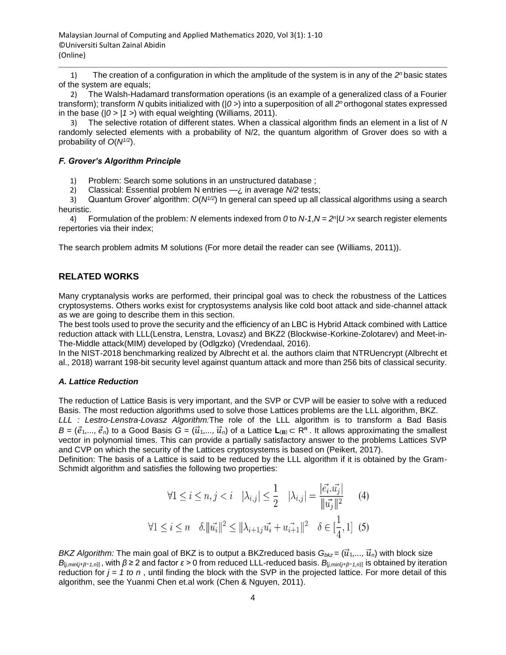1) The creation of a configuration in which the amplitude of the system is in any of the 2<sup>n</sup> basic states of the system are equals;

2) The Walsh-Hadamard transformation operations (is an example of a generalized class of a Fourier transform); transform *N* qubits initialized with (|*0 >*) into a superposition of all *2 <sup>n</sup>*orthogonal states expressed in the base ( $|0 \rangle$  |1 >) with equal weighting (Williams, 2011).

3) The selective rotation of different states. When a classical algorithm finds an element in a list of *N*  randomly selected elements with a probability of N/2, the quantum algorithm of Grover does so with a probability of *O*(*N1/2*).

### *F. Grover's Algorithm Principle*

1) Problem: Search some solutions in an unstructured database ;

2) Classical: Essential problem N entries —¿ in average *N/2* tests;

3) Quantum Grover' algorithm: *O*(*N1/2*) In general can speed up all classical algorithms using a search heuristic.

4) Formulation of the problem: *N* elements indexed from *0* to *N-1*,*N* = *2 n* |*U >x* search register elements repertories via their index;

The search problem admits M solutions (For more detail the reader can see (Williams, 2011)).

## **RELATED WORKS**

Many cryptanalysis works are performed, their principal goal was to check the robustness of the Lattices cryptosystems. Others works exist for cryptosystems analysis like cold boot attack and side-channel attack as we are going to describe them in this section.

The best tools used to prove the security and the efficiency of an LBC is Hybrid Attack combined with Lattice reduction attack with LLL(Lenstra, Lenstra, Lovasz) and BKZ2 (Blockwise-Korkine-Zolotarev) and Meet-in-The-Middle attack(MIM) developed by (Odlgzko) (Vredendaal, 2016).

In the NIST-2018 benchmarking realized by Albrecht et al. the authors claim that NTRUencrypt (Albrecht et al., 2018) warrant 198-bit security level against quantum attack and more than 256 bits of classical security.

### *A. Lattice Reduction*

The reduction of Lattice Basis is very important, and the SVP or CVP will be easier to solve with a reduced Basis. The most reduction algorithms used to solve those Lattices problems are the LLL algorithm, BKZ.

*LLL : Lestro-Lenstra-Lovasz Algorithm:*The role of the LLL algorithm is to transform a Bad Basis  $B = (\vec{e}_1,...,\vec{e}_n)$  to a Good Basis  $G = (\vec{u}_1,...,\vec{u}_n)$  of a Lattice  $L_{(B)} \subset \mathbb{R}^n$ . It allows approximating the smallest vector in polynomial times. This can provide a partially satisfactory answer to the problems Lattices SVP and CVP on which the security of the Lattices cryptosystems is based on (Peikert, 2017).

Definition: The basis of a Lattice is said to be reduced by the LLL algorithm if it is obtained by the Gram-Schmidt algorithm and satisfies the following two properties:

$$
\forall 1 \le i \le n, j < i \quad |\lambda_{i,j}| \le \frac{1}{2} \quad |\lambda_{i,j}| = \frac{|\vec{e_i} \cdot \vec{u_j}|}{\|\vec{u_j}\|^2} \tag{4}
$$
\n
$$
\forall 1 \le i \le n \quad \delta \cdot \|\vec{u_i}\|^2 \le \|\lambda_{i+1j}\vec{u_i} + \vec{u_{i+1}}\|^2 \quad \delta \in [\frac{1}{4}, 1] \tag{5}
$$

*BKZ Algorithm:* The main goal of BKZ is to output a BKZreduced basis  $G_{bkg} = (\vec{u}_1, ..., \vec{u}_n)$  with block size *B*<sub>[*i,min*(*j*+*β*−*1,n*)], with *β* ≥ 2 and factor *ε* > 0 from reduced LLL-reduced basis. *B*<sub>[*i,min*(*j*+*β*−*1,n*)] is obtained by iteration</sub></sub> reduction for  $j = 1$  to n, until finding the block with the SVP in the projected lattice. For more detail of this algorithm, see the Yuanmi Chen et.al work (Chen & Nguyen, 2011).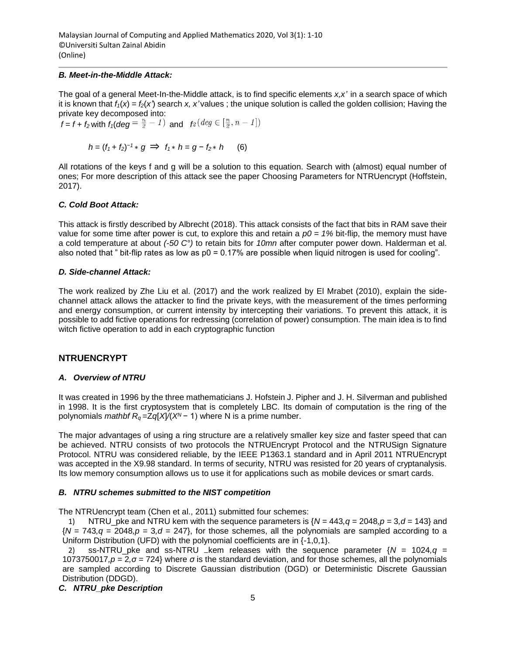#### *B. Meet-in-the-Middle Attack:*

The goal of a general Meet-In-the-Middle attack, is to find specific elements *x,x'* in a search space of which it is known that  $f_1(x) = f_2(x)$  search x, x'values; the unique solution is called the golden collision; Having the private key decomposed into:

 $f = f + f_2$  with  $f_1$ (*deg* =  $\frac{n}{2} - 1$ ) and  $f_2$  (*deg*  $\in [\frac{n}{2}, n - 1]$ )

$$
h = (f_1 + f_2)^{-1} * g \implies f_1 * h = g - f_2 * h \qquad (6)
$$

All rotations of the keys f and g will be a solution to this equation. Search with (almost) equal number of ones; For more description of this attack see the paper Choosing Parameters for NTRUencrypt (Hoffstein, 2017).

### *C. Cold Boot Attack:*

This attack is firstly described by Albrecht (2018). This attack consists of the fact that bits in RAM save their value for some time after power is cut, to explore this and retain a *p0 = 1%* bit-flip, the memory must have a cold temperature at about *(-50 C°)* to retain bits for *10mn* after computer power down. Halderman et al. also noted that " bit-flip rates as low as  $p0 = 0.17\%$  are possible when liquid nitrogen is used for cooling".

### *D. Side-channel Attack:*

The work realized by Zhe Liu et al. (2017) and the work realized by El Mrabet (2010), explain the sidechannel attack allows the attacker to find the private keys, with the measurement of the times performing and energy consumption, or current intensity by intercepting their variations. To prevent this attack, it is possible to add fictive operations for redressing (correlation of power) consumption. The main idea is to find witch fictive operation to add in each cryptographic function

## **NTRUENCRYPT**

### *A. Overview of NTRU*

It was created in 1996 by the three mathematicians J. Hofstein J. Pipher and J. H. Silverman and published in 1998. It is the first cryptosystem that is completely LBC. Its domain of computation is the ring of the polynomials *mathbf*  $R_q = Zq[X]/(X^N - 1)$  where N is a prime number.

The major advantages of using a ring structure are a relatively smaller key size and faster speed that can be achieved. NTRU consists of two protocols the NTRUEncrypt Protocol and the NTRUSign Signature Protocol. NTRU was considered reliable, by the IEEE P1363.1 standard and in April 2011 NTRUEncrypt was accepted in the X9.98 standard. In terms of security, NTRU was resisted for 20 years of cryptanalysis. Its low memory consumption allows us to use it for applications such as mobile devices or smart cards.

#### *B. NTRU schemes submitted to the NIST competition*

The NTRUencrypt team (Chen et al., 2011) submitted four schemes:

1) NTRU pke and NTRU kem with the sequence parameters is  ${N} = 443$ ,  $q = 2048$ ,  $p = 3$ ,  $d = 143$  and  ${N} = 743, q = 2048, p = 3, d = 247$ , for those schemes, all the polynomials are sampled according to a Uniform Distribution (UFD) with the polynomial coefficients are in {-1,0,1}.

ss-NTRU\_pke and ss-NTRU \_kem releases with the sequence parameter  $\{N = 1024, q =$ 1073750017*,p* = 2*,σ* = 724} where *σ* is the standard deviation, and for those schemes, all the polynomials are sampled according to Discrete Gaussian distribution (DGD) or Deterministic Discrete Gaussian Distribution (DDGD).

### *C. NTRU\_pke Description*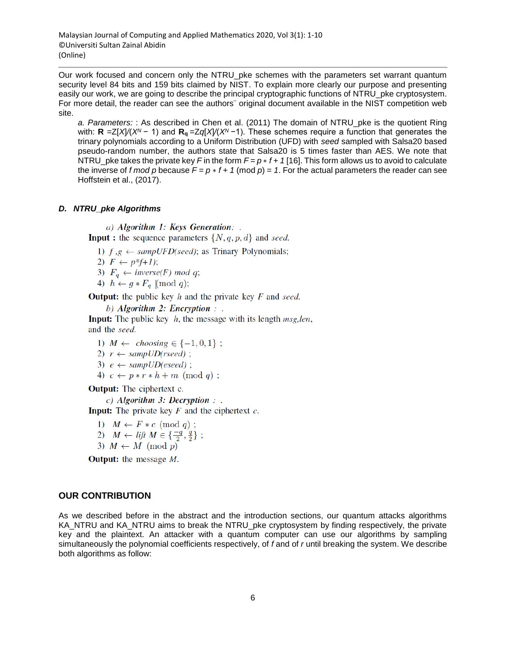Our work focused and concern only the NTRU\_pke schemes with the parameters set warrant quantum security level 84 bits and 159 bits claimed by NIST. To explain more clearly our purpose and presenting easily our work, we are going to describe the principal cryptographic functions of NTRU\_pke cryptosystem. For more detail, the reader can see the authors¨ original document available in the NIST competition web site.

*a. Parameters:* : As described in Chen et al. (2011) The domain of NTRU\_pke is the quotient Ring with: **R** =Z[*X*]*/*(*X<sup>N</sup>*− 1) and **Rq** =Z*q*[*X*]*/*(*X<sup>N</sup>*−1). These schemes require a function that generates the trinary polynomials according to a Uniform Distribution (UFD) with *seed* sampled with Salsa20 based pseudo-random number, the authors state that Salsa20 is 5 times faster than AES. We note that NTRU\_pke takes the private key *F* in the form  $F = p * f + 1$  [16]. This form allows us to avoid to calculate the inverse of *f mod p* because  $F = p * f + 1$  (mod  $p = 1$ . For the actual parameters the reader can see Hoffstein et al., (2017).

## *D. NTRU\_pke Algorithms*

a) Algorithm 1: Keys Generation: .

**Input**: the sequence parameters  $\{N, q, p, d\}$  and seed.

1)  $f, g \leftarrow \text{sampleUFD}(\text{seed})$ ; as Trinary Polynomials;

2)  $F \leftarrow p^*f+1$ ;

3)  $F_q \leftarrow inverse(F) \mod q;$ 

4)  $h \leftarrow g * F_q \pmod{q};$ 

**Output:** the public key  $h$  and the private key  $F$  and seed.

b) Algorithm 2: Encryption : .

**Input:** The public key  $h$ , the message with its length  $msg, len$ , and the seed.

1)  $M \leftarrow \text{choosing } \in \{-1, 0, 1\}$ ; 

- 3)  $e \leftarrow \text{sample}(\text{eseed})$ ;
- 4)  $c \leftarrow p * r * h + m \pmod{q}$ ;

**Output:** The ciphertext c.

 $c)$  Algorithm 3: Decryption : .

**Input:** The private key  $F$  and the ciphertext  $c$ .

1)  $M \leftarrow F * c \pmod{q}$ ;

- 2)  $M \leftarrow l$ ift  $M \in \{\frac{-q}{2}, \frac{q}{2}\};$
- 3)  $M \leftarrow M \pmod{p}$

**Output:** the message  $M$ .

## **OUR CONTRIBUTION**

As we described before in the abstract and the introduction sections, our quantum attacks algorithms KA\_NTRU and KA\_NTRU aims to break the NTRU\_pke cryptosystem by finding respectively, the private key and the plaintext. An attacker with a quantum computer can use our algorithms by sampling simultaneously the polynomial coefficients respectively, of *f* and of *r* until breaking the system. We describe both algorithms as follow: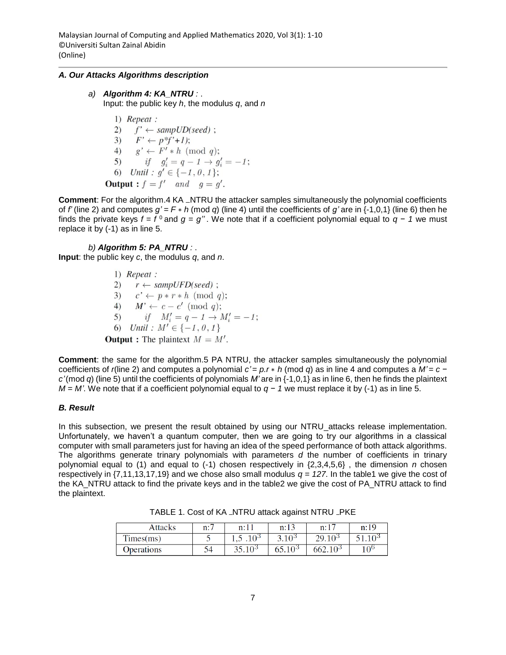### *A. Our Attacks Algorithms description*

#### *a) Algorithm 4: KA\_NTRU :* . Input: the public key *h*, the modulus *q*, and *n*

 $1)$  Repeat : 2)  $f' \leftarrow \text{sample}(\text{seed})$ ; 3)  $F' \leftarrow p^*f'+1);$ 4)  $g' \leftarrow F' * h \pmod{q}$ ; 5) if  $g'_i = q - 1 \rightarrow g'_i = -1$ ;<br>
6) Until :  $g' \in \{-1, 0, 1\}$ ; **Output**:  $f = f'$  and  $g = g'$ .

**Comment**: For the algorithm.4 KA \_NTRU the attacker samples simultaneously the polynomial coefficients of *f'* (line 2) and computes  $g' = F * h$  (mod *q*) (line 4) until the coefficients of *g'* are in {-1,0,1} (line 6) then he finds the private keys  $f = f^0$  and  $g = g''$ . We note that if a coefficient polynomial equal to  $g - 1$  we must replace it by (-1) as in line 5.

*b) Algorithm 5: PA\_NTRU :* .

**Input**: the public key *c*, the modulus *q*, and *n*.

 $1)$  Repeat : 2)  $r \leftarrow \text{sample}(\text{seed})$ ; 3)  $c' \leftarrow p * r * h \pmod{q};$ 4)  $M' \leftarrow c - c' \pmod{q};$ 5) if  $M'_i = q - 1 \rightarrow M'_i = -1$ ; 6) Until :  $M' \in \{-1, 0, 1\}$ **Output :** The plaintext  $M = M'$ .

**Comment**: the same for the algorithm.5 PA NTRU, the attacker samples simultaneously the polynomial coefficients of *r*(line 2) and computes a polynomial *c'* = *p.r* ∗ *h* (mod *q*) as in line 4 and computes a *M'* = *c* − *c'*(mod *q*) (line 5) until the coefficients of polynomials *M'* are in {-1,0,1} as in line 6, then he finds the plaintext *M* = *M'*. We note that if a coefficient polynomial equal to  $q - 1$  we must replace it by (-1) as in line 5.

### *B. Result*

In this subsection, we present the result obtained by using our NTRU\_attacks release implementation. Unfortunately, we haven't a quantum computer, then we are going to try our algorithms in a classical computer with small parameters just for having an idea of the speed performance of both attack algorithms. The algorithms generate trinary polynomials with parameters *d* the number of coefficients in trinary polynomial equal to (1) and equal to (-1) chosen respectively in {2,3,4,5,6} , the dimension *n* chosen respectively in  $\{7,11,13,17,19\}$  and we chose also small modulus  $q = 127$ . In the table1 we give the cost of the KA\_NTRU attack to find the private keys and in the table2 we give the cost of PA\_NTRU attack to find the plaintext.

TABLE 1. Cost of KA \_NTRU attack against NTRU \_PKE

| Attacks            | $n: \prime$ | n:         | n: F |           | n:1 |
|--------------------|-------------|------------|------|-----------|-----|
| Times(ms)          |             | ഹ<br>1.J   | ി റാ | 105<br>າດ |     |
| <b>D</b> perations | Э4          | ு∩∍<br>າ ຂ | ∩ാ   | ъo        | 1∩⊾ |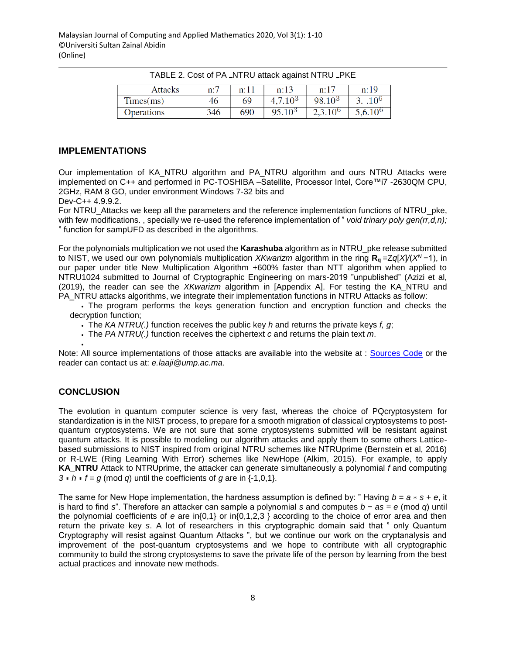| Attacks    | n:7 | n:11 | $\mathfrak{n}$ : 1. | $n:1^-$     | n:19 |
|------------|-----|------|---------------------|-------------|------|
| Times(ms)  | 46  | 69   | ി റാ                | 1 A 3<br>ΩO |      |
| Operations | 346 | 690  | 10 <sup>3</sup>     |             | 100  |

TABLE 2. Cost of PA\_NTRU attack against NTRU\_PKE

### **IMPLEMENTATIONS**

Our implementation of KA\_NTRU algorithm and PA\_NTRU algorithm and ours NTRU Attacks were implemented on C++ and performed in PC-TOSHIBA –Satellite, Processor Intel, Core™i7 -2630QM CPU, 2GHz, RAM 8 GO, under environment Windows 7-32 bits and

Dev-C++ 4.9.9.2.

For NTRU Attacks we keep all the parameters and the reference implementation functions of NTRU pke, with few modifications. , specially we re-used the reference implementation of " *void trinary poly gen(rr,d,n);*  " function for sampUFD as described in the algorithms.

For the polynomials multiplication we not used the **Karashuba** algorithm as in NTRU\_pke release submitted to NIST, we used our own polynomials multiplication *XKwarizm* algorithm in the ring **Rq** =Z*q*[*X*]*/*(*X<sup>N</sup>*−1), in our paper under title New Multiplication Algorithm +600% faster than NTT algorithm when applied to NTRU1024 submitted to Journal of Cryptographic Engineering on mars-2019 "unpublished" (Azizi et al, (2019), the reader can see the *XKwarizm* algorithm in [Appendix A]. For testing the KA\_NTRU and PA\_NTRU attacks algorithms, we integrate their implementation functions in NTRU Attacks as follow:

• The program performs the keys generation function and encryption function and checks the decryption function;

• The *KA NTRU(.)* function receives the public key *h* and returns the private keys *f, g*;

• The *PA NTRU(.)* function receives the ciphertext *c* and returns the plain text *m*.

Note: All source implementations of those attacks are available into the website at : [Sources Code](https://drive.google.com/open?id=12sG3-KXnAoJ2fDA0fbPXlry66l99iifI) or the reader can contact us at: *e.laaji@ump.ac.ma*.

## **CONCLUSION**

•

The evolution in quantum computer science is very fast, whereas the choice of PQcryptosystem for standardization is in the NIST process, to prepare for a smooth migration of classical cryptosystems to postquantum cryptosystems. We are not sure that some cryptosystems submitted will be resistant against quantum attacks. It is possible to modeling our algorithm attacks and apply them to some others Latticebased submissions to NIST inspired from original NTRU schemes like NTRUprime (Bernstein et al, 2016) or R-LWE (Ring Learning With Error) schemes like NewHope (Alkim, 2015). For example, to apply **KA\_NTRU** Attack to NTRUprime, the attacker can generate simultaneously a polynomial *f* and computing  $3 * h * f = g \pmod{q}$  until the coefficients of *g* are in  $\{-1,0,1\}$ .

The same for New Hope implementation, the hardness assumption is defined by: " Having  $b = a * s + e$ , it is hard to find *s*". Therefore an attacker can sample a polynomial *s* and computes *b* − *as* = *e* (mod *q*) until the polynomial coefficients of *e* are in{0,1} or in{0,1,2,3 } according to the choice of error area and then return the private key *s*. A lot of researchers in this cryptographic domain said that " only Quantum Cryptography will resist against Quantum Attacks ", but we continue our work on the cryptanalysis and improvement of the post-quantum cryptosystems and we hope to contribute with all cryptographic community to build the strong cryptosystems to save the private life of the person by learning from the best actual practices and innovate new methods.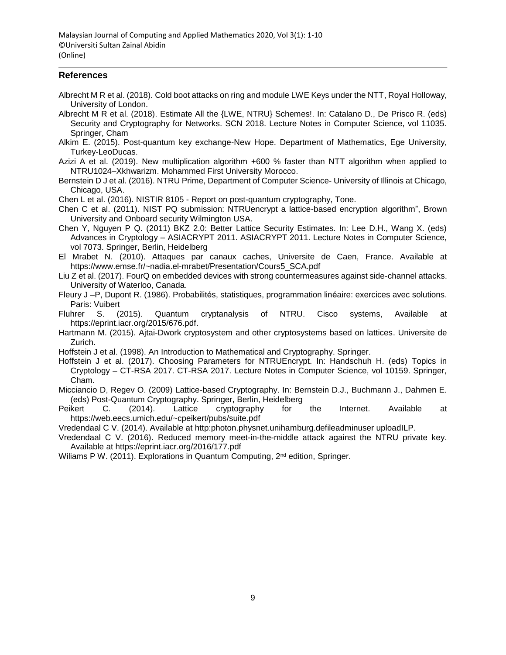### **References**

- Albrecht M R et al. (2018). Cold boot attacks on ring and module LWE Keys under the NTT, Royal Holloway, University of London.
- Albrecht M R et al. (2018). Estimate All the {LWE, NTRU} Schemes!. In: Catalano D., De Prisco R. (eds) Security and Cryptography for Networks. SCN 2018. Lecture Notes in Computer Science, vol 11035. Springer, Cham
- Alkim E. (2015). Post-quantum key exchange-New Hope. Department of Mathematics, Ege University, Turkey-LeoDucas.

Azizi A et al. (2019). New multiplication algorithm +600 % faster than NTT algorithm when applied to NTRU1024–Xkhwarizm. Mohammed First University Morocco.

Bernstein D J et al. (2016). NTRU Prime, Department of Computer Science- University of Illinois at Chicago, Chicago, USA.

Chen L et al. (2016). NISTIR 8105 - Report on post-quantum cryptography, Tone.

Chen C et al. (2011). NIST PQ submission: NTRUencrypt a lattice-based encryption algorithm", Brown University and Onboard security Wilmington USA.

Chen Y, Nguyen P Q. (2011) BKZ 2.0: Better Lattice Security Estimates. In: Lee D.H., Wang X. (eds) Advances in Cryptology – ASIACRYPT 2011. ASIACRYPT 2011. Lecture Notes in Computer Science, vol 7073. Springer, Berlin, Heidelberg

El Mrabet N. (2010). Attaques par canaux caches, Universite de Caen, France. Available at https://www.emse.fr/~nadia.el-mrabet/Presentation/Cours5\_SCA.pdf

Liu Z et al. (2017). FourQ on embedded devices with strong countermeasures against side-channel attacks. University of Waterloo, Canada.

Fleury J –P, Dupont R. (1986). Probabilités, statistiques, programmation linéaire: exercices avec solutions. Paris: Vuibert

Fluhrer S. (2015). Quantum cryptanalysis of NTRU. Cisco systems, Available at https://eprint.iacr.org/2015/676.pdf.

Hartmann M. (2015). Ajtai-Dwork cryptosystem and other cryptosystems based on lattices. Universite de Zurich.

Hoffstein J et al. (1998). An Introduction to Mathematical and Cryptography. Springer.

Hoffstein J et al. (2017). Choosing Parameters for NTRUEncrypt. In: Handschuh H. (eds) Topics in Cryptology – CT-RSA 2017. CT-RSA 2017. Lecture Notes in Computer Science, vol 10159. Springer, Cham.

Micciancio D, Regev O. (2009) Lattice-based Cryptography. In: Bernstein D.J., Buchmann J., Dahmen E. (eds) Post-Quantum Cryptography. Springer, Berlin, Heidelberg

Peikert C. (2014). Lattice cryptography for the Internet. Available at https://web.eecs.umich.edu/~cpeikert/pubs/suite.pdf

Vredendaal C V. (2014). Available at http:photon.physnet.unihamburg.defileadminuser uploadILP.

Vredendaal C V. (2016). Reduced memory meet-in-the-middle attack against the NTRU private key. Available at https://eprint.iacr.org/2016/177.pdf

Wiliams P W. (2011). Explorations in Quantum Computing, 2<sup>nd</sup> edition, Springer.